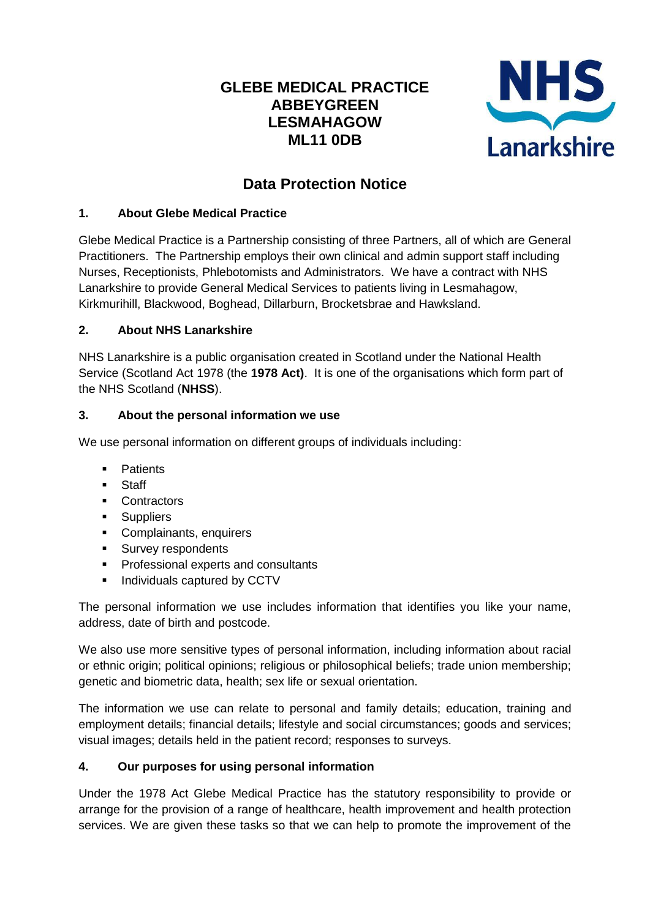# **GLEBE MEDICAL PRACTICE ABBEYGREEN LESMAHAGOW ML11 0DB**



# **Data Protection Notice**

## **1. About Glebe Medical Practice**

Glebe Medical Practice is a Partnership consisting of three Partners, all of which are General Practitioners. The Partnership employs their own clinical and admin support staff including Nurses, Receptionists, Phlebotomists and Administrators. We have a contract with NHS Lanarkshire to provide General Medical Services to patients living in Lesmahagow, Kirkmurihill, Blackwood, Boghead, Dillarburn, Brocketsbrae and Hawksland.

## **2. About NHS Lanarkshire**

NHS Lanarkshire is a public organisation created in Scotland under the National Health Service (Scotland Act 1978 (the **1978 Act)**. It is one of the organisations which form part of the NHS Scotland (**NHSS**).

## **3. About the personal information we use**

We use personal information on different groups of individuals including:

- **Patients**
- **Staff**
- Contractors
- **Suppliers**
- Complainants, enquirers
- **Survey respondents**
- **Professional experts and consultants**
- **Individuals captured by CCTV**

The personal information we use includes information that identifies you like your name, address, date of birth and postcode.

We also use more sensitive types of personal information, including information about racial or ethnic origin; political opinions; religious or philosophical beliefs; trade union membership; genetic and biometric data, health; sex life or sexual orientation.

The information we use can relate to personal and family details; education, training and employment details; financial details; lifestyle and social circumstances; goods and services; visual images; details held in the patient record; responses to surveys.

# **4. Our purposes for using personal information**

Under the 1978 Act Glebe Medical Practice has the statutory responsibility to provide or arrange for the provision of a range of healthcare, health improvement and health protection services. We are given these tasks so that we can help to promote the improvement of the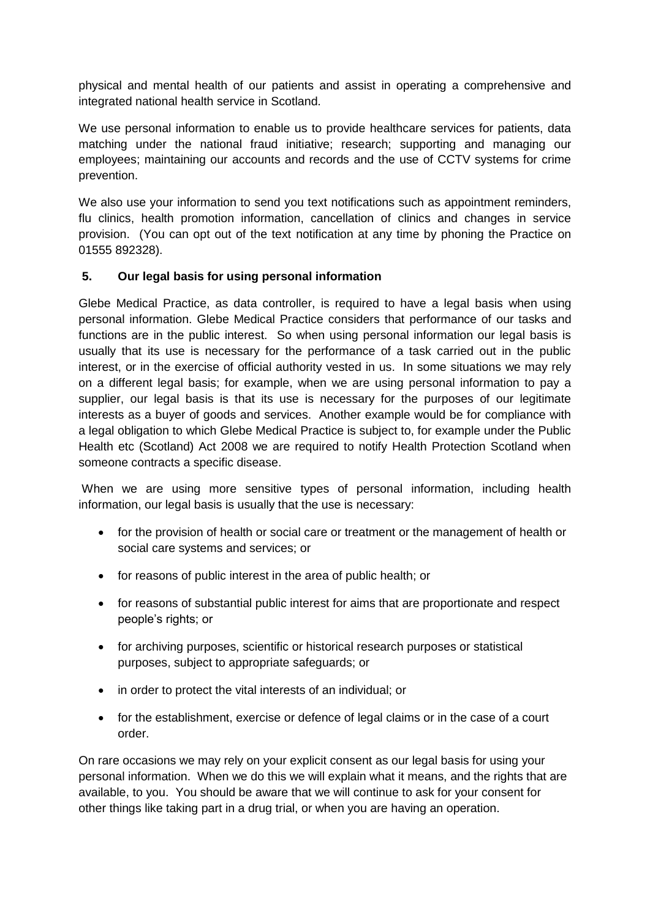physical and mental health of our patients and assist in operating a comprehensive and integrated national health service in Scotland.

We use personal information to enable us to provide healthcare services for patients, data matching under the national fraud initiative; research; supporting and managing our employees; maintaining our accounts and records and the use of CCTV systems for crime prevention.

We also use your information to send you text notifications such as appointment reminders, flu clinics, health promotion information, cancellation of clinics and changes in service provision. (You can opt out of the text notification at any time by phoning the Practice on 01555 892328).

#### **5. Our legal basis for using personal information**

Glebe Medical Practice, as data controller, is required to have a legal basis when using personal information. Glebe Medical Practice considers that performance of our tasks and functions are in the public interest. So when using personal information our legal basis is usually that its use is necessary for the performance of a task carried out in the public interest, or in the exercise of official authority vested in us. In some situations we may rely on a different legal basis; for example, when we are using personal information to pay a supplier, our legal basis is that its use is necessary for the purposes of our legitimate interests as a buyer of goods and services. Another example would be for compliance with a legal obligation to which Glebe Medical Practice is subject to, for example under the Public Health etc (Scotland) Act 2008 we are required to notify Health Protection Scotland when someone contracts a specific disease.

When we are using more sensitive types of personal information, including health information, our legal basis is usually that the use is necessary:

- for the provision of health or social care or treatment or the management of health or social care systems and services; or
- for reasons of public interest in the area of public health; or
- for reasons of substantial public interest for aims that are proportionate and respect people's rights; or
- for archiving purposes, scientific or historical research purposes or statistical purposes, subject to appropriate safeguards; or
- in order to protect the vital interests of an individual; or
- for the establishment, exercise or defence of legal claims or in the case of a court order.

On rare occasions we may rely on your explicit consent as our legal basis for using your personal information. When we do this we will explain what it means, and the rights that are available, to you. You should be aware that we will continue to ask for your consent for other things like taking part in a drug trial, or when you are having an operation.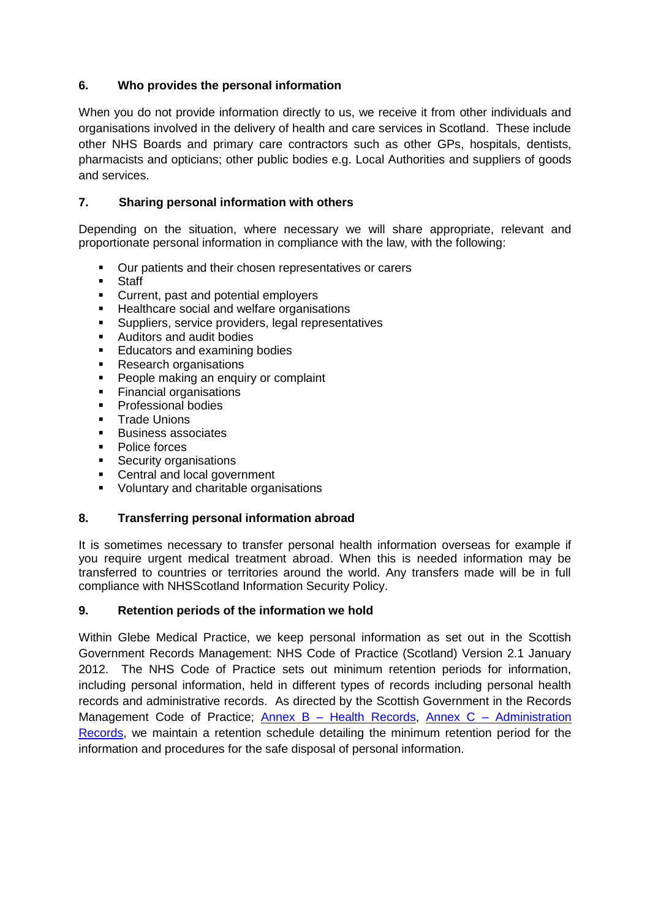## **6. Who provides the personal information**

When you do not provide information directly to us, we receive it from other individuals and organisations involved in the delivery of health and care services in Scotland. These include other NHS Boards and primary care contractors such as other GPs, hospitals, dentists, pharmacists and opticians; other public bodies e.g. Local Authorities and suppliers of goods and services.

## **7. Sharing personal information with others**

Depending on the situation, where necessary we will share appropriate, relevant and proportionate personal information in compliance with the law, with the following:

- **•** Our patients and their chosen representatives or carers
- **Staff**<br>Curre
- Current, past and potential employers
- **Healthcare social and welfare organisations**
- **Suppliers, service providers, legal representatives**
- Auditors and audit bodies
- **Educators and examining bodies**
- Research organisations
- **People making an enquiry or complaint**
- **Financial organisations**
- **Professional bodies**
- **Trade Unions**
- **Business associates**
- Police forces
- **Security organisations**
- Central and local government
- Voluntary and charitable organisations

#### **8. Transferring personal information abroad**

It is sometimes necessary to transfer personal health information overseas for example if you require urgent medical treatment abroad. When this is needed information may be transferred to countries or territories around the world. Any transfers made will be in full compliance with NHSScotland Information Security Policy.

#### **9. Retention periods of the information we hold**

Within Glebe Medical Practice, we keep personal information as set out in the Scottish Government Records Management: NHS Code of Practice (Scotland) Version 2.1 January 2012. The NHS Code of Practice sets out minimum retention periods for information, including personal information, held in different types of records including personal health records and administrative records. As directed by the Scottish Government in the Records Management Code of Practice; Annex B - [Health Records,](http://www.gov.scot/Publications/2012/01/10143104/7) Annex C - Administration [Records,](http://www.gov.scot/Publications/2012/01/10143104/8) we maintain a retention schedule detailing the minimum retention period for the information and procedures for the safe disposal of personal information.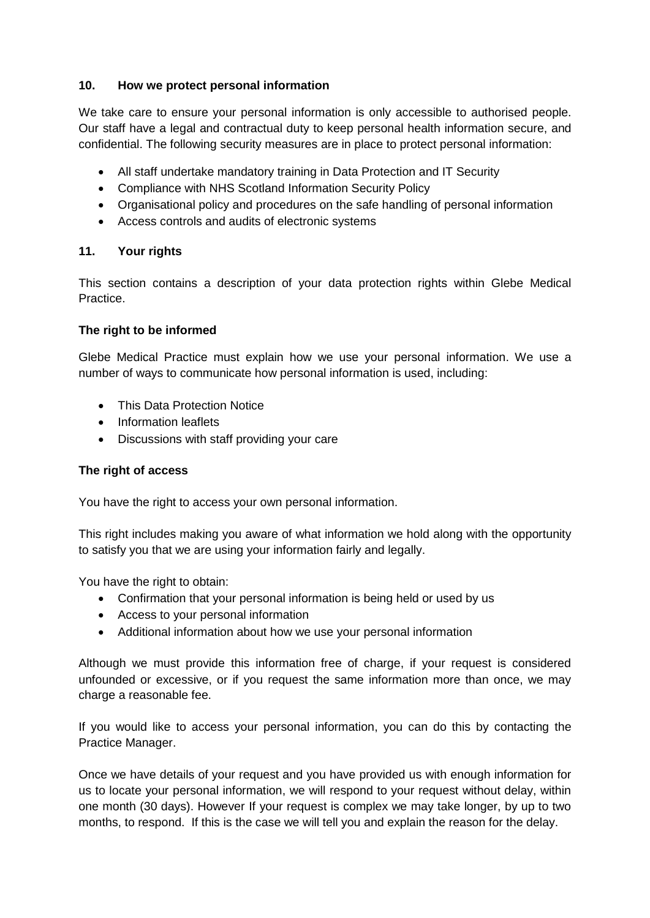## **10. How we protect personal information**

We take care to ensure your personal information is only accessible to authorised people. Our staff have a legal and contractual duty to keep personal health information secure, and confidential. The following security measures are in place to protect personal information:

- All staff undertake mandatory training in Data Protection and IT Security
- Compliance with NHS Scotland Information Security Policy
- Organisational policy and procedures on the safe handling of personal information
- Access controls and audits of electronic systems

# **11. Your rights**

This section contains a description of your data protection rights within Glebe Medical Practice.

#### **The right to be informed**

Glebe Medical Practice must explain how we use your personal information. We use a number of ways to communicate how personal information is used, including:

- This Data Protection Notice
- Information leaflets
- Discussions with staff providing your care

## **The right of access**

You have the right to access your own personal information.

This right includes making you aware of what information we hold along with the opportunity to satisfy you that we are using your information fairly and legally.

You have the right to obtain:

- Confirmation that your personal information is being held or used by us
- Access to your personal information
- Additional information about how we use your personal information

Although we must provide this information free of charge, if your request is considered unfounded or excessive, or if you request the same information more than once, we may charge a reasonable fee.

If you would like to access your personal information, you can do this by contacting the Practice Manager.

Once we have details of your request and you have provided us with enough information for us to locate your personal information, we will respond to your request without delay, within one month (30 days). However If your request is complex we may take longer, by up to two months, to respond. If this is the case we will tell you and explain the reason for the delay.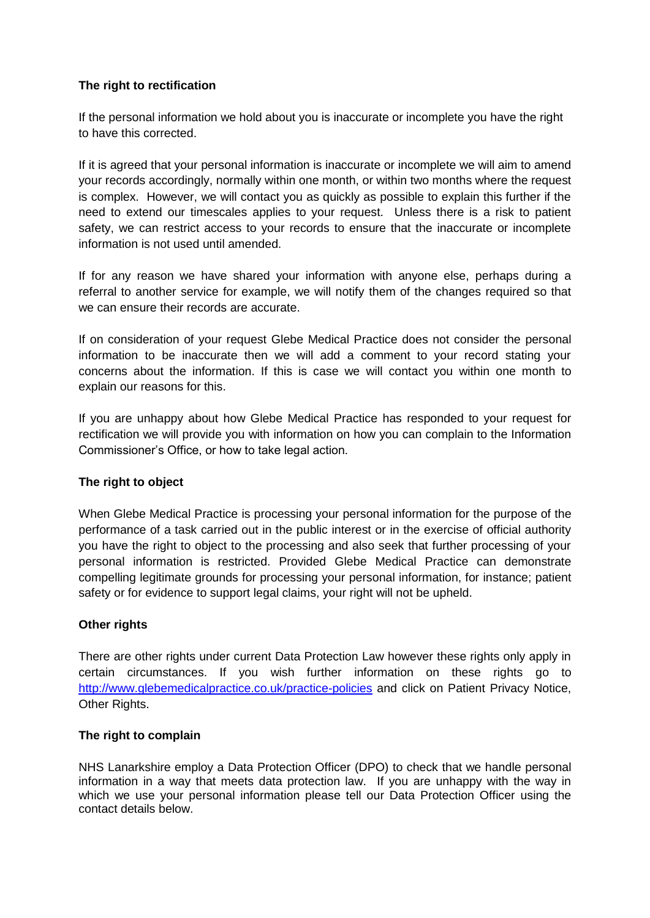## **The right to rectification**

If the personal information we hold about you is inaccurate or incomplete you have the right to have this corrected.

If it is agreed that your personal information is inaccurate or incomplete we will aim to amend your records accordingly, normally within one month, or within two months where the request is complex. However, we will contact you as quickly as possible to explain this further if the need to extend our timescales applies to your request. Unless there is a risk to patient safety, we can restrict access to your records to ensure that the inaccurate or incomplete information is not used until amended.

If for any reason we have shared your information with anyone else, perhaps during a referral to another service for example, we will notify them of the changes required so that we can ensure their records are accurate.

If on consideration of your request Glebe Medical Practice does not consider the personal information to be inaccurate then we will add a comment to your record stating your concerns about the information. If this is case we will contact you within one month to explain our reasons for this.

If you are unhappy about how Glebe Medical Practice has responded to your request for rectification we will provide you with information on how you can complain to the Information Commissioner's Office, or how to take legal action.

## **The right to object**

When Glebe Medical Practice is processing your personal information for the purpose of the performance of a task carried out in the public interest or in the exercise of official authority you have the right to object to the processing and also seek that further processing of your personal information is restricted. Provided Glebe Medical Practice can demonstrate compelling legitimate grounds for processing your personal information, for instance; patient safety or for evidence to support legal claims, your right will not be upheld.

#### **Other rights**

There are other rights under current Data Protection Law however these rights only apply in certain circumstances. If you wish further information on these rights go to <http://www.glebemedicalpractice.co.uk/practice-policies> and click on Patient Privacy Notice, Other Rights.

#### **The right to complain**

NHS Lanarkshire employ a Data Protection Officer (DPO) to check that we handle personal information in a way that meets data protection law. If you are unhappy with the way in which we use your personal information please tell our Data Protection Officer using the contact details below.